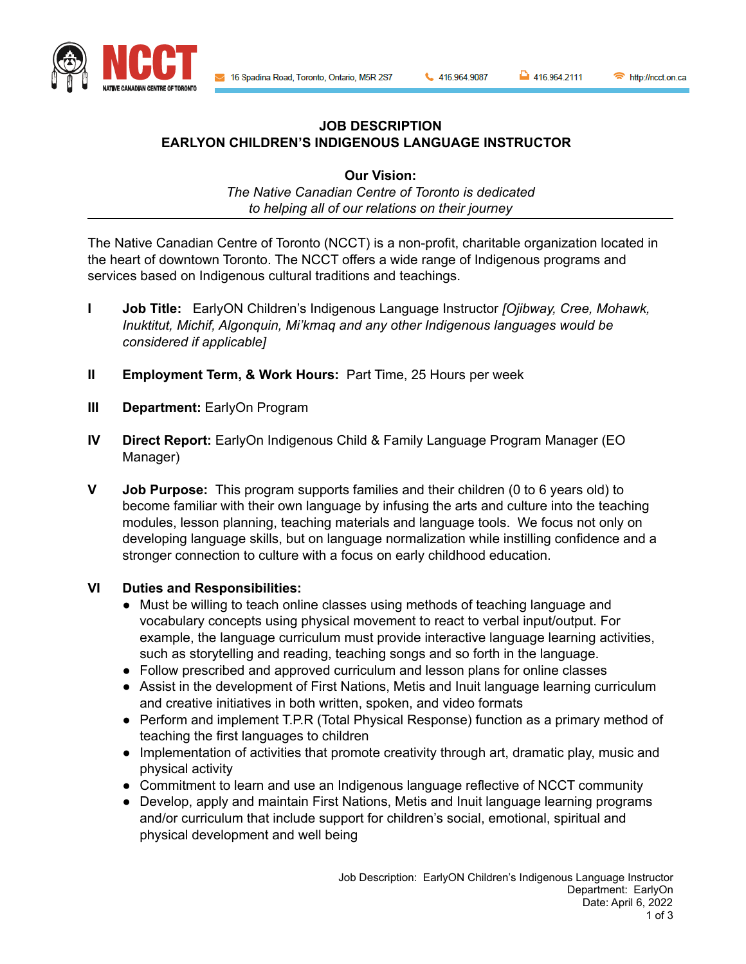16 Spadina Road, Toronto, Ontario, M5R 2S7

416.964.9087

```
416.964.2111
```
http://ncct.on.ca



## **JOB DESCRIPTION EARLYON CHILDREN'S INDIGENOUS LANGUAGE INSTRUCTOR**

**Our Vision:** *The Native Canadian Centre of Toronto is dedicated to helping all of our relations on their journey*

The Native Canadian Centre of Toronto (NCCT) is a non-profit, charitable organization located in the heart of downtown Toronto. The NCCT offers a wide range of Indigenous programs and services based on Indigenous cultural traditions and teachings.

- **I Job Title:** EarlyON Children's Indigenous Language Instructor *[Ojibway, Cree, Mohawk, Inuktitut, Michif, Algonquin, Mi'kmaq and any other Indigenous languages would be considered if applicable]*
- **II Employment Term, & Work Hours:** Part Time, 25 Hours per week
- **III Department:** EarlyOn Program
- **IV Direct Report:** EarlyOn Indigenous Child & Family Language Program Manager (EO Manager)
- **V Job Purpose:** This program supports families and their children (0 to 6 years old) to become familiar with their own language by infusing the arts and culture into the teaching modules, lesson planning, teaching materials and language tools. We focus not only on developing language skills, but on language normalization while instilling confidence and a stronger connection to culture with a focus on early childhood education.

## **VI Duties and Responsibilities:**

- Must be willing to teach online classes using methods of teaching language and vocabulary concepts using physical movement to react to verbal input/output. For example, the language curriculum must provide interactive language learning activities, such as storytelling and reading, teaching songs and so forth in the language.
- Follow prescribed and approved curriculum and lesson plans for online classes
- Assist in the development of First Nations, Metis and Inuit language learning curriculum and creative initiatives in both written, spoken, and video formats
- Perform and implement T.P.R (Total Physical Response) function as a primary method of teaching the first languages to children
- Implementation of activities that promote creativity through art, dramatic play, music and physical activity
- Commitment to learn and use an Indigenous language reflective of NCCT community
- Develop, apply and maintain First Nations, Metis and Inuit language learning programs and/or curriculum that include support for children's social, emotional, spiritual and physical development and well being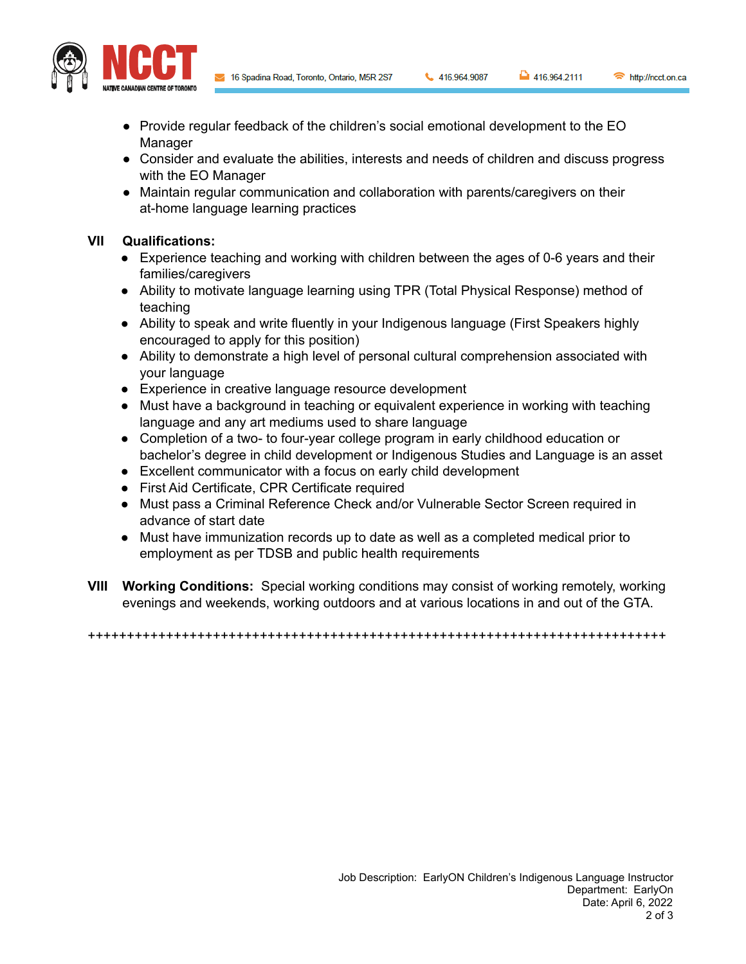16 Spadina Road, Toronto, Ontario, M5R 2S7

416.964.9087

```
416.964.2111
```


- Provide regular feedback of the children's social emotional development to the EO Manager
- Consider and evaluate the abilities, interests and needs of children and discuss progress with the EO Manager
- Maintain regular communication and collaboration with parents/caregivers on their at-home language learning practices

## **VII Qualifications:**

- Experience teaching and working with children between the ages of 0-6 years and their families/caregivers
- Ability to motivate language learning using TPR (Total Physical Response) method of teaching
- Ability to speak and write fluently in your Indigenous language (First Speakers highly encouraged to apply for this position)
- Ability to demonstrate a high level of personal cultural comprehension associated with your language
- Experience in creative language resource development
- Must have a background in teaching or equivalent experience in working with teaching language and any art mediums used to share language
- Completion of a two- to four-year college program in early childhood education or bachelor's degree in child development or Indigenous Studies and Language is an asset
- Excellent communicator with a focus on early child development
- First Aid Certificate, CPR Certificate required
- Must pass a Criminal Reference Check and/or Vulnerable Sector Screen required in advance of start date
- Must have immunization records up to date as well as a completed medical prior to employment as per TDSB and public health requirements
- **VIII Working Conditions:** Special working conditions may consist of working remotely, working evenings and weekends, working outdoors and at various locations in and out of the GTA.

++++++++++++++++++++++++++++++++++++++++++++++++++++++++++++++++++++++++++

http://ncct.on.ca